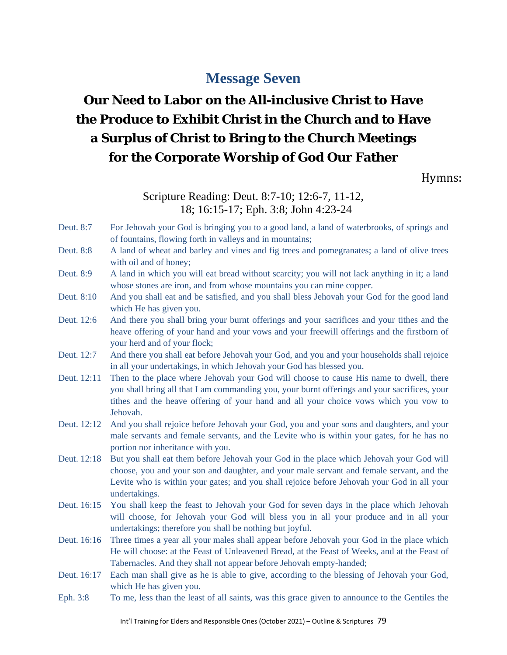# **Message Seven**

# **Our Need to Labor on the All-inclusive Christ to Have the Produce to Exhibit Christ in the Church and to Have a Surplus of Christ to Bring to the Church Meetings for the Corporate Worship of God Our Father**

Hymns:

#### Scripture Reading: Deut. 8:7-10; 12:6-7, 11-12, 18; 16:15-17; Eph. 3:8; John 4:23-24

- Deut. 8:7 For Jehovah your God is bringing you to a good land, a land of waterbrooks, of springs and of fountains, flowing forth in valleys and in mountains;
- Deut. 8:8 A land of wheat and barley and vines and fig trees and pomegranates; a land of olive trees with oil and of honey;
- Deut. 8:9 A land in which you will eat bread without scarcity; you will not lack anything in it; a land whose stones are iron, and from whose mountains you can mine copper.
- Deut. 8:10 And you shall eat and be satisfied, and you shall bless Jehovah your God for the good land which He has given you.
- Deut. 12:6 And there you shall bring your burnt offerings and your sacrifices and your tithes and the heave offering of your hand and your vows and your freewill offerings and the firstborn of your herd and of your flock;
- Deut. 12:7 And there you shall eat before Jehovah your God, and you and your households shall rejoice in all your undertakings, in which Jehovah your God has blessed you.
- Deut. 12:11 Then to the place where Jehovah your God will choose to cause His name to dwell, there you shall bring all that I am commanding you, your burnt offerings and your sacrifices, your tithes and the heave offering of your hand and all your choice vows which you vow to Jehovah.
- Deut. 12:12 And you shall rejoice before Jehovah your God, you and your sons and daughters, and your male servants and female servants, and the Levite who is within your gates, for he has no portion nor inheritance with you.
- Deut. 12:18 But you shall eat them before Jehovah your God in the place which Jehovah your God will choose, you and your son and daughter, and your male servant and female servant, and the Levite who is within your gates; and you shall rejoice before Jehovah your God in all your undertakings.
- Deut. 16:15 You shall keep the feast to Jehovah your God for seven days in the place which Jehovah will choose, for Jehovah your God will bless you in all your produce and in all your undertakings; therefore you shall be nothing but joyful.
- Deut. 16:16 Three times a year all your males shall appear before Jehovah your God in the place which He will choose: at the Feast of Unleavened Bread, at the Feast of Weeks, and at the Feast of Tabernacles. And they shall not appear before Jehovah empty-handed;
- Deut. 16:17 Each man shall give as he is able to give, according to the blessing of Jehovah your God, which He has given you.
- Eph. 3:8 To me, less than the least of all saints, was this grace given to announce to the Gentiles the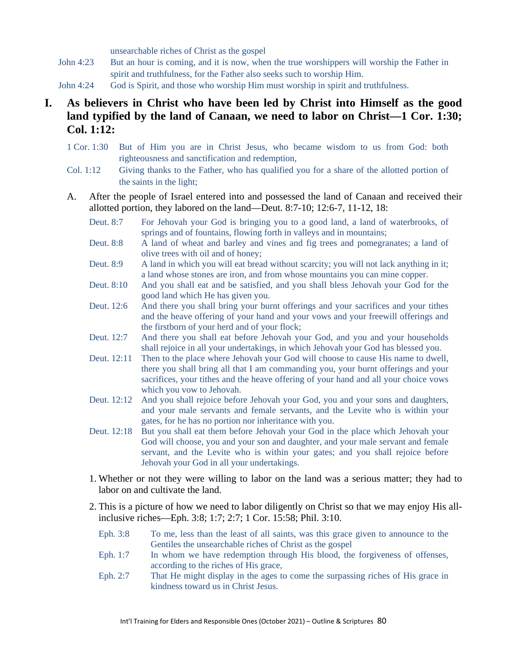unsearchable riches of Christ as the gospel

- John 4:23 But an hour is coming, and it is now, when the true worshippers will worship the Father in spirit and truthfulness, for the Father also seeks such to worship Him.
- John 4:24 God is Spirit, and those who worship Him must worship in spirit and truthfulness.
- **I. As believers in Christ who have been led by Christ into Himself as the good land typified by the land of Canaan, we need to labor on Christ—1 Cor. 1:30; Col. 1:12:**
	- 1 Cor. 1:30 But of Him you are in Christ Jesus, who became wisdom to us from God: both righteousness and sanctification and redemption,
	- Col. 1:12 Giving thanks to the Father, who has qualified you for a share of the allotted portion of the saints in the light;
	- A. After the people of Israel entered into and possessed the land of Canaan and received their allotted portion, they labored on the land—Deut. 8:7-10; 12:6-7, 11-12, 18:
		- Deut. 8:7 For Jehovah your God is bringing you to a good land, a land of waterbrooks, of springs and of fountains, flowing forth in valleys and in mountains;
		- Deut. 8:8 A land of wheat and barley and vines and fig trees and pomegranates; a land of olive trees with oil and of honey;
		- Deut. 8:9 A land in which you will eat bread without scarcity; you will not lack anything in it; a land whose stones are iron, and from whose mountains you can mine copper.
		- Deut. 8:10 And you shall eat and be satisfied, and you shall bless Jehovah your God for the good land which He has given you.
		- Deut. 12:6 And there you shall bring your burnt offerings and your sacrifices and your tithes and the heave offering of your hand and your vows and your freewill offerings and the firstborn of your herd and of your flock;
		- Deut. 12:7 And there you shall eat before Jehovah your God, and you and your households shall rejoice in all your undertakings, in which Jehovah your God has blessed you.
		- Deut. 12:11 Then to the place where Jehovah your God will choose to cause His name to dwell, there you shall bring all that I am commanding you, your burnt offerings and your sacrifices, your tithes and the heave offering of your hand and all your choice vows which you vow to Jehovah.
		- Deut. 12:12 And you shall rejoice before Jehovah your God, you and your sons and daughters, and your male servants and female servants, and the Levite who is within your gates, for he has no portion nor inheritance with you.
		- Deut. 12:18 But you shall eat them before Jehovah your God in the place which Jehovah your God will choose, you and your son and daughter, and your male servant and female servant, and the Levite who is within your gates; and you shall rejoice before Jehovah your God in all your undertakings.
		- 1. Whether or not they were willing to labor on the land was a serious matter; they had to labor on and cultivate the land.
		- 2. This is a picture of how we need to labor diligently on Christ so that we may enjoy His allinclusive riches—Eph. 3:8; 1:7; 2:7; 1 Cor. 15:58; Phil. 3:10.
			- Eph. 3:8 To me, less than the least of all saints, was this grace given to announce to the Gentiles the unsearchable riches of Christ as the gospel
			- Eph. 1:7 In whom we have redemption through His blood, the forgiveness of offenses, according to the riches of His grace,
			- Eph. 2:7 That He might display in the ages to come the surpassing riches of His grace in kindness toward us in Christ Jesus.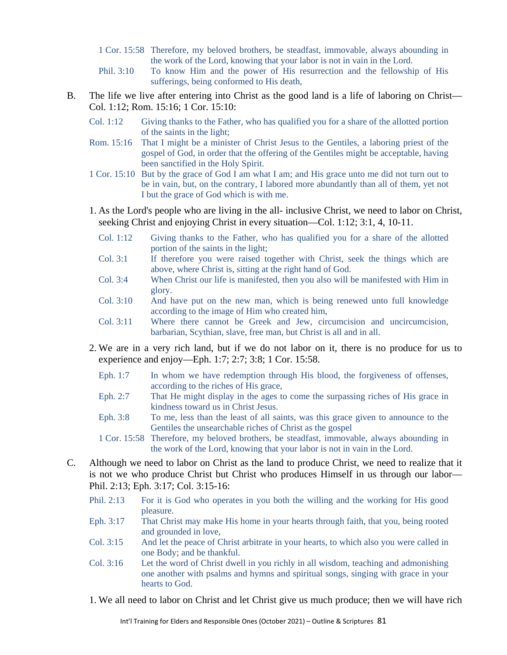- 1 Cor. 15:58 Therefore, my beloved brothers, be steadfast, immovable, always abounding in the work of the Lord, knowing that your labor is not in vain in the Lord.
- Phil. 3:10 To know Him and the power of His resurrection and the fellowship of His sufferings, being conformed to His death,
- B. The life we live after entering into Christ as the good land is a life of laboring on Christ— Col. 1:12; Rom. 15:16; 1 Cor. 15:10:
	- Col. 1:12 Giving thanks to the Father, who has qualified you for a share of the allotted portion of the saints in the light;
	- Rom. 15:16 That I might be a minister of Christ Jesus to the Gentiles, a laboring priest of the gospel of God, in order that the offering of the Gentiles might be acceptable, having been sanctified in the Holy Spirit.
	- 1 Cor. 15:10 But by the grace of God I am what I am; and His grace unto me did not turn out to be in vain, but, on the contrary, I labored more abundantly than all of them, yet not I but the grace of God which is with me.
	- 1. As the Lord's people who are living in the all- inclusive Christ, we need to labor on Christ, seeking Christ and enjoying Christ in every situation—Col. 1:12; 3:1, 4, 10-11.
		- Col. 1:12 Giving thanks to the Father, who has qualified you for a share of the allotted portion of the saints in the light;
		- Col. 3:1 If therefore you were raised together with Christ, seek the things which are above, where Christ is, sitting at the right hand of God.
		- Col. 3:4 When Christ our life is manifested, then you also will be manifested with Him in glory.
		- Col. 3:10 And have put on the new man, which is being renewed unto full knowledge according to the image of Him who created him,
		- Col. 3:11 Where there cannot be Greek and Jew, circumcision and uncircumcision, barbarian, Scythian, slave, free man, but Christ is all and in all.
	- 2. We are in a very rich land, but if we do not labor on it, there is no produce for us to experience and enjoy—Eph. 1:7; 2:7; 3:8; 1 Cor. 15:58.
		- Eph. 1:7 In whom we have redemption through His blood, the forgiveness of offenses, according to the riches of His grace,
		- Eph. 2:7 That He might display in the ages to come the surpassing riches of His grace in kindness toward us in Christ Jesus.
		- Eph. 3:8 To me, less than the least of all saints, was this grace given to announce to the Gentiles the unsearchable riches of Christ as the gospel
		- 1 Cor. 15:58 Therefore, my beloved brothers, be steadfast, immovable, always abounding in the work of the Lord, knowing that your labor is not in vain in the Lord.
- C. Although we need to labor on Christ as the land to produce Christ, we need to realize that it is not we who produce Christ but Christ who produces Himself in us through our labor— Phil. 2:13; Eph. 3:17; Col. 3:15-16:
	- Phil. 2:13 For it is God who operates in you both the willing and the working for His good pleasure.
	- Eph. 3:17 That Christ may make His home in your hearts through faith, that you, being rooted and grounded in love,
	- Col. 3:15 And let the peace of Christ arbitrate in your hearts, to which also you were called in one Body; and be thankful.
	- Col. 3:16 Let the word of Christ dwell in you richly in all wisdom, teaching and admonishing one another with psalms and hymns and spiritual songs, singing with grace in your hearts to God.
	- 1. We all need to labor on Christ and let Christ give us much produce; then we will have rich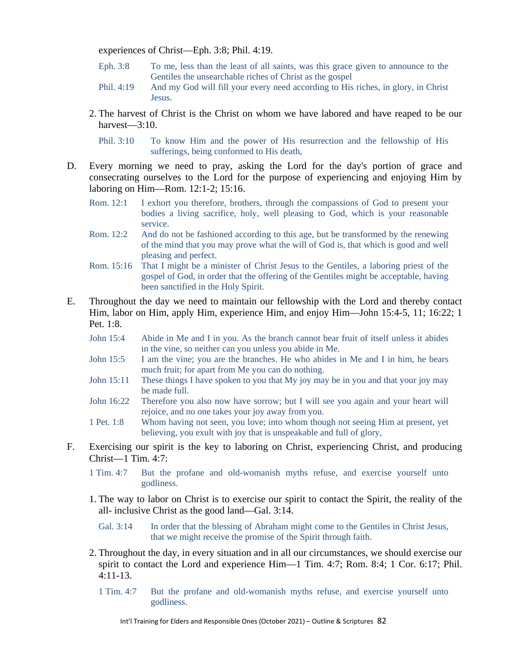experiences of Christ—Eph. 3:8; Phil. 4:19.

- Eph. 3:8 To me, less than the least of all saints, was this grace given to announce to the Gentiles the unsearchable riches of Christ as the gospel
- Phil. 4:19 And my God will fill your every need according to His riches, in glory, in Christ **Jesus.**
- 2. The harvest of Christ is the Christ on whom we have labored and have reaped to be our harvest—3:10.

Phil. 3:10 To know Him and the power of His resurrection and the fellowship of His sufferings, being conformed to His death,

- D. Every morning we need to pray, asking the Lord for the day's portion of grace and consecrating ourselves to the Lord for the purpose of experiencing and enjoying Him by laboring on Him—Rom. 12:1-2; 15:16.
	- Rom. 12:1 I exhort you therefore, brothers, through the compassions of God to present your bodies a living sacrifice, holy, well pleasing to God, which is your reasonable service.
	- Rom. 12:2 And do not be fashioned according to this age, but be transformed by the renewing of the mind that you may prove what the will of God is, that which is good and well pleasing and perfect.
	- Rom. 15:16 That I might be a minister of Christ Jesus to the Gentiles, a laboring priest of the gospel of God, in order that the offering of the Gentiles might be acceptable, having been sanctified in the Holy Spirit.
- E. Throughout the day we need to maintain our fellowship with the Lord and thereby contact Him, labor on Him, apply Him, experience Him, and enjoy Him—John 15:4-5, 11; 16:22; 1 Pet. 1:8.
	- John 15:4 Abide in Me and I in you. As the branch cannot bear fruit of itself unless it abides in the vine, so neither can you unless you abide in Me.
	- John 15:5 I am the vine; you are the branches. He who abides in Me and I in him, he bears much fruit; for apart from Me you can do nothing.
	- John 15:11 These things I have spoken to you that My joy may be in you and that your joy may be made full.
	- John 16:22 Therefore you also now have sorrow; but I will see you again and your heart will rejoice, and no one takes your joy away from you.
	- 1 Pet. 1:8 Whom having not seen, you love; into whom though not seeing Him at present, yet believing, you exult with joy that is unspeakable and full of glory,
- F. Exercising our spirit is the key to laboring on Christ, experiencing Christ, and producing Christ—1 Tim. 4:7:
	- 1 Tim. 4:7 But the profane and old-womanish myths refuse, and exercise yourself unto godliness.
	- 1. The way to labor on Christ is to exercise our spirit to contact the Spirit, the reality of the all- inclusive Christ as the good land—Gal. 3:14.
		- Gal. 3:14 In order that the blessing of Abraham might come to the Gentiles in Christ Jesus, that we might receive the promise of the Spirit through faith.
	- 2. Throughout the day, in every situation and in all our circumstances, we should exercise our spirit to contact the Lord and experience Him—1 Tim. 4:7; Rom. 8:4; 1 Cor. 6:17; Phil. 4:11-13.
		- 1 Tim. 4:7 But the profane and old-womanish myths refuse, and exercise yourself unto godliness.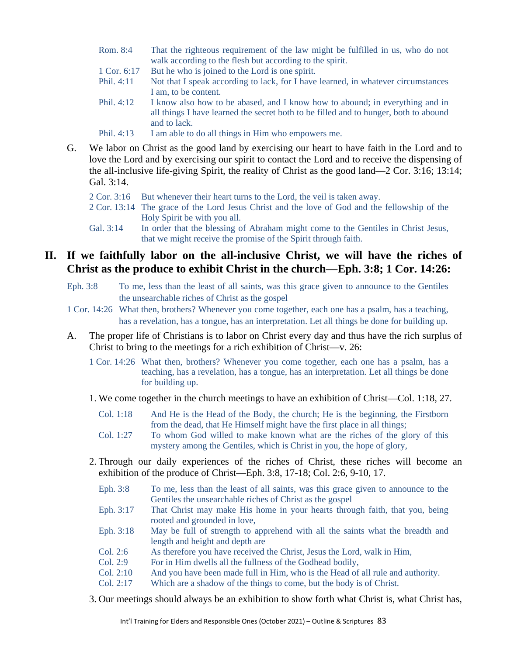- Rom. 8:4 That the righteous requirement of the law might be fulfilled in us, who do not walk according to the flesh but according to the spirit.
- 1 Cor. 6:17 But he who is joined to the Lord is one spirit.
- Phil. 4:11 Not that I speak according to lack, for I have learned, in whatever circumstances I am, to be content.
- Phil. 4:12 I know also how to be abased, and I know how to abound; in everything and in all things I have learned the secret both to be filled and to hunger, both to abound and to lack.
- Phil. 4:13 I am able to do all things in Him who empowers me.
- G. We labor on Christ as the good land by exercising our heart to have faith in the Lord and to love the Lord and by exercising our spirit to contact the Lord and to receive the dispensing of the all-inclusive life-giving Spirit, the reality of Christ as the good land—2 Cor. 3:16; 13:14; Gal. 3:14.
	- 2 Cor. 3:16 But whenever their heart turns to the Lord, the veil is taken away.
	- 2 Cor. 13:14 The grace of the Lord Jesus Christ and the love of God and the fellowship of the Holy Spirit be with you all.
	- Gal. 3:14 In order that the blessing of Abraham might come to the Gentiles in Christ Jesus, that we might receive the promise of the Spirit through faith.

### **II. If we faithfully labor on the all-inclusive Christ, we will have the riches of Christ as the produce to exhibit Christ in the church—Eph. 3:8; 1 Cor. 14:26:**

- Eph. 3:8 To me, less than the least of all saints, was this grace given to announce to the Gentiles the unsearchable riches of Christ as the gospel
- 1 Cor. 14:26 What then, brothers? Whenever you come together, each one has a psalm, has a teaching, has a revelation, has a tongue, has an interpretation. Let all things be done for building up.
- A. The proper life of Christians is to labor on Christ every day and thus have the rich surplus of Christ to bring to the meetings for a rich exhibition of Christ—v. 26:
	- 1 Cor. 14:26 What then, brothers? Whenever you come together, each one has a psalm, has a teaching, has a revelation, has a tongue, has an interpretation. Let all things be done for building up.
	- 1. We come together in the church meetings to have an exhibition of Christ—Col. 1:18, 27.
		- Col. 1:18 And He is the Head of the Body, the church; He is the beginning, the Firstborn from the dead, that He Himself might have the first place in all things;
		- Col. 1:27 To whom God willed to make known what are the riches of the glory of this mystery among the Gentiles, which is Christ in you, the hope of glory,
	- 2. Through our daily experiences of the riches of Christ, these riches will become an exhibition of the produce of Christ—Eph. 3:8, 17-18; Col. 2:6, 9-10, 17.
		- Eph. 3:8 To me, less than the least of all saints, was this grace given to announce to the Gentiles the unsearchable riches of Christ as the gospel
		- Eph. 3:17 That Christ may make His home in your hearts through faith, that you, being rooted and grounded in love,
		- Eph. 3:18 May be full of strength to apprehend with all the saints what the breadth and length and height and depth are
		- Col. 2:6 As therefore you have received the Christ, Jesus the Lord, walk in Him,
		- Col. 2:9 For in Him dwells all the fullness of the Godhead bodily,
		- Col. 2:10 And you have been made full in Him, who is the Head of all rule and authority.
		- Col. 2:17 Which are a shadow of the things to come, but the body is of Christ.
	- 3. Our meetings should always be an exhibition to show forth what Christ is, what Christ has,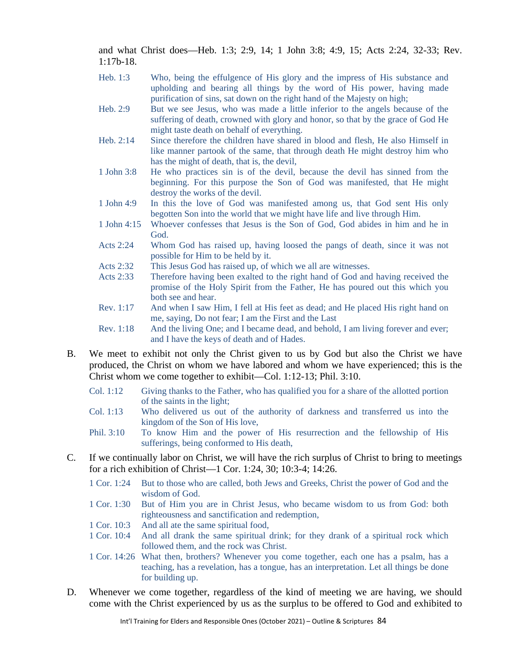and what Christ does—Heb. 1:3; 2:9, 14; 1 John 3:8; 4:9, 15; Acts 2:24, 32-33; Rev. 1:17b-18.

- Heb. 1:3 Who, being the effulgence of His glory and the impress of His substance and upholding and bearing all things by the word of His power, having made purification of sins, sat down on the right hand of the Majesty on high;
- Heb. 2:9 But we see Jesus, who was made a little inferior to the angels because of the suffering of death, crowned with glory and honor, so that by the grace of God He might taste death on behalf of everything.
- Heb. 2:14 Since therefore the children have shared in blood and flesh, He also Himself in like manner partook of the same, that through death He might destroy him who has the might of death, that is, the devil,
- 1 John 3:8 He who practices sin is of the devil, because the devil has sinned from the beginning. For this purpose the Son of God was manifested, that He might destroy the works of the devil.
- 1 John 4:9 In this the love of God was manifested among us, that God sent His only begotten Son into the world that we might have life and live through Him.
- 1 John 4:15 Whoever confesses that Jesus is the Son of God, God abides in him and he in God.
- Acts 2:24 Whom God has raised up, having loosed the pangs of death, since it was not possible for Him to be held by it.
- Acts 2:32 This Jesus God has raised up, of which we all are witnesses.
- Acts 2:33 Therefore having been exalted to the right hand of God and having received the promise of the Holy Spirit from the Father, He has poured out this which you both see and hear.
- Rev. 1:17 And when I saw Him, I fell at His feet as dead; and He placed His right hand on me, saying, Do not fear; I am the First and the Last
- Rev. 1:18 And the living One; and I became dead, and behold, I am living forever and ever; and I have the keys of death and of Hades.
- B. We meet to exhibit not only the Christ given to us by God but also the Christ we have produced, the Christ on whom we have labored and whom we have experienced; this is the Christ whom we come together to exhibit—Col. 1:12-13; Phil. 3:10.
	- Col. 1:12 Giving thanks to the Father, who has qualified you for a share of the allotted portion of the saints in the light;
	- Col. 1:13 Who delivered us out of the authority of darkness and transferred us into the kingdom of the Son of His love,
	- Phil. 3:10 To know Him and the power of His resurrection and the fellowship of His sufferings, being conformed to His death,
- C. If we continually labor on Christ, we will have the rich surplus of Christ to bring to meetings for a rich exhibition of Christ—1 Cor. 1:24, 30; 10:3-4; 14:26.
	- 1 Cor. 1:24 But to those who are called, both Jews and Greeks, Christ the power of God and the wisdom of God.
	- 1 Cor. 1:30 But of Him you are in Christ Jesus, who became wisdom to us from God: both righteousness and sanctification and redemption,
	- 1 Cor. 10:3 And all ate the same spiritual food,
	- 1 Cor. 10:4 And all drank the same spiritual drink; for they drank of a spiritual rock which followed them, and the rock was Christ.
	- 1 Cor. 14:26 What then, brothers? Whenever you come together, each one has a psalm, has a teaching, has a revelation, has a tongue, has an interpretation. Let all things be done for building up.
- D. Whenever we come together, regardless of the kind of meeting we are having, we should come with the Christ experienced by us as the surplus to be offered to God and exhibited to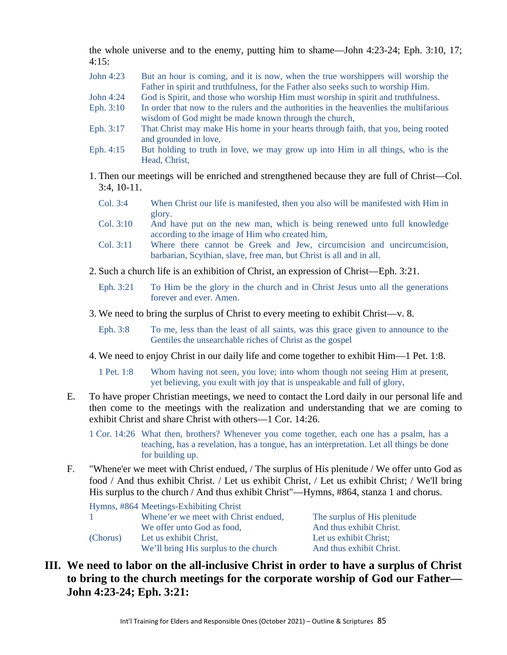the whole universe and to the enemy, putting him to shame—John 4:23-24; Eph. 3:10, 17;  $4:15:$ 

- John 4:23 But an hour is coming, and it is now, when the true worshippers will worship the Father in spirit and truthfulness, for the Father also seeks such to worship Him.
- John 4:24 God is Spirit, and those who worship Him must worship in spirit and truthfulness.
- Eph. 3:10 In order that now to the rulers and the authorities in the heavenlies the multifarious wisdom of God might be made known through the church,
- Eph. 3:17 That Christ may make His home in your hearts through faith, that you, being rooted and grounded in love,
- Eph. 4:15 But holding to truth in love, we may grow up into Him in all things, who is the Head, Christ,
- 1. Then our meetings will be enriched and strengthened because they are full of Christ—Col. 3:4, 10-11.
	- Col. 3:4 When Christ our life is manifested, then you also will be manifested with Him in glory.
	- Col. 3:10 And have put on the new man, which is being renewed unto full knowledge according to the image of Him who created him,
	- Col. 3:11 Where there cannot be Greek and Jew, circumcision and uncircumcision, barbarian, Scythian, slave, free man, but Christ is all and in all.
- 2. Such a church life is an exhibition of Christ, an expression of Christ—Eph. 3:21.
	- Eph. 3:21 To Him be the glory in the church and in Christ Jesus unto all the generations forever and ever. Amen.
- 3. We need to bring the surplus of Christ to every meeting to exhibit Christ—v. 8.
	- Eph. 3:8 To me, less than the least of all saints, was this grace given to announce to the Gentiles the unsearchable riches of Christ as the gospel
- 4. We need to enjoy Christ in our daily life and come together to exhibit Him—1 Pet. 1:8.
	- 1 Pet. 1:8 Whom having not seen, you love; into whom though not seeing Him at present, yet believing, you exult with joy that is unspeakable and full of glory,
- E. To have proper Christian meetings, we need to contact the Lord daily in our personal life and then come to the meetings with the realization and understanding that we are coming to exhibit Christ and share Christ with others—1 Cor. 14:26.
	- 1 Cor. 14:26 What then, brothers? Whenever you come together, each one has a psalm, has a teaching, has a revelation, has a tongue, has an interpretation. Let all things be done for building up.
- F. "Whene'er we meet with Christ endued, / The surplus of His plenitude / We offer unto God as food / And thus exhibit Christ. / Let us exhibit Christ, / Let us exhibit Christ; / We'll bring His surplus to the church / And thus exhibit Christ"—Hymns, #864, stanza 1 and chorus.

|          | Hymns, #864 Meetings-Exhibiting Christ                          |                                                    |
|----------|-----------------------------------------------------------------|----------------------------------------------------|
|          | Whene'er we meet with Christ endued,                            | The surplus of His plenitude                       |
|          | We offer unto God as food,                                      | And thus exhibit Christ.                           |
| (Chorus) | Let us exhibit Christ.<br>We'll bring His surplus to the church | Let us exhibit Christ;<br>And thus exhibit Christ. |
|          |                                                                 |                                                    |

## **III. We need to labor on the all-inclusive Christ in order to have a surplus of Christ to bring to the church meetings for the corporate worship of God our Father— John 4:23-24; Eph. 3:21:**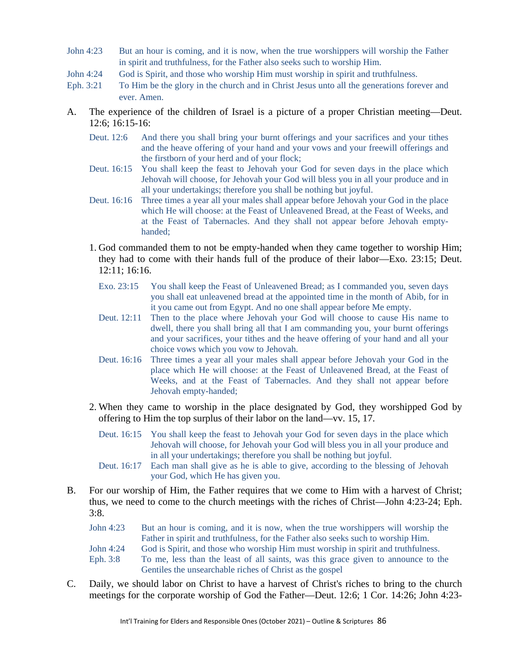- John 4:23 But an hour is coming, and it is now, when the true worshippers will worship the Father in spirit and truthfulness, for the Father also seeks such to worship Him.
- John 4:24 God is Spirit, and those who worship Him must worship in spirit and truthfulness.
- Eph. 3:21 To Him be the glory in the church and in Christ Jesus unto all the generations forever and ever. Amen.
- A. The experience of the children of Israel is a picture of a proper Christian meeting—Deut. 12:6; 16:15-16:
	- Deut. 12:6 And there you shall bring your burnt offerings and your sacrifices and your tithes and the heave offering of your hand and your vows and your freewill offerings and the firstborn of your herd and of your flock;
	- Deut. 16:15 You shall keep the feast to Jehovah your God for seven days in the place which Jehovah will choose, for Jehovah your God will bless you in all your produce and in all your undertakings; therefore you shall be nothing but joyful.
	- Deut. 16:16 Three times a year all your males shall appear before Jehovah your God in the place which He will choose: at the Feast of Unleavened Bread, at the Feast of Weeks, and at the Feast of Tabernacles. And they shall not appear before Jehovah emptyhanded;
	- 1. God commanded them to not be empty-handed when they came together to worship Him; they had to come with their hands full of the produce of their labor—Exo. 23:15; Deut. 12:11; 16:16.
		- Exo. 23:15 You shall keep the Feast of Unleavened Bread; as I commanded you, seven days you shall eat unleavened bread at the appointed time in the month of Abib, for in it you came out from Egypt. And no one shall appear before Me empty.
		- Deut. 12:11 Then to the place where Jehovah your God will choose to cause His name to dwell, there you shall bring all that I am commanding you, your burnt offerings and your sacrifices, your tithes and the heave offering of your hand and all your choice vows which you vow to Jehovah.
		- Deut. 16:16 Three times a year all your males shall appear before Jehovah your God in the place which He will choose: at the Feast of Unleavened Bread, at the Feast of Weeks, and at the Feast of Tabernacles. And they shall not appear before Jehovah empty-handed;
	- 2. When they came to worship in the place designated by God, they worshipped God by offering to Him the top surplus of their labor on the land—vv. 15, 17.
		- Deut. 16:15 You shall keep the feast to Jehovah your God for seven days in the place which Jehovah will choose, for Jehovah your God will bless you in all your produce and in all your undertakings; therefore you shall be nothing but joyful.
		- Deut. 16:17 Each man shall give as he is able to give, according to the blessing of Jehovah your God, which He has given you.
- B. For our worship of Him, the Father requires that we come to Him with a harvest of Christ; thus, we need to come to the church meetings with the riches of Christ—John 4:23-24; Eph. 3:8.

| John 4:23 | But an hour is coming, and it is now, when the true worshippers will worship the  |  |
|-----------|-----------------------------------------------------------------------------------|--|
|           | Father in spirit and truthfulness, for the Father also seeks such to worship Him. |  |
| John 4:24 | God is Spirit, and those who worship Him must worship in spirit and truthfulness. |  |
| Eph. 3:8  | To me, less than the least of all saints, was this grace given to announce to the |  |
|           | Gentiles the unsearchable riches of Christ as the gospel                          |  |

C. Daily, we should labor on Christ to have a harvest of Christ's riches to bring to the church meetings for the corporate worship of God the Father—Deut. 12:6; 1 Cor. 14:26; John 4:23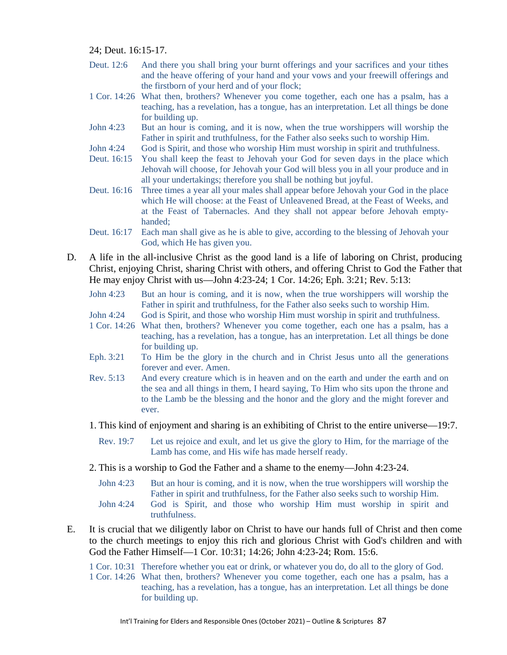24; Deut. 16:15-17.

- Deut. 12:6 And there you shall bring your burnt offerings and your sacrifices and your tithes and the heave offering of your hand and your vows and your freewill offerings and the firstborn of your herd and of your flock;
- 1 Cor. 14:26 What then, brothers? Whenever you come together, each one has a psalm, has a teaching, has a revelation, has a tongue, has an interpretation. Let all things be done for building up.
- John 4:23 But an hour is coming, and it is now, when the true worshippers will worship the Father in spirit and truthfulness, for the Father also seeks such to worship Him.
- John 4:24 God is Spirit, and those who worship Him must worship in spirit and truthfulness.
- Deut. 16:15 You shall keep the feast to Jehovah your God for seven days in the place which Jehovah will choose, for Jehovah your God will bless you in all your produce and in all your undertakings; therefore you shall be nothing but joyful.
- Deut. 16:16 Three times a year all your males shall appear before Jehovah your God in the place which He will choose: at the Feast of Unleavened Bread, at the Feast of Weeks, and at the Feast of Tabernacles. And they shall not appear before Jehovah emptyhanded;
- Deut. 16:17 Each man shall give as he is able to give, according to the blessing of Jehovah your God, which He has given you.
- D. A life in the all-inclusive Christ as the good land is a life of laboring on Christ, producing Christ, enjoying Christ, sharing Christ with others, and offering Christ to God the Father that He may enjoy Christ with us—John 4:23-24; 1 Cor. 14:26; Eph. 3:21; Rev. 5:13:
	- John 4:23 But an hour is coming, and it is now, when the true worshippers will worship the Father in spirit and truthfulness, for the Father also seeks such to worship Him.
	- John 4:24 God is Spirit, and those who worship Him must worship in spirit and truthfulness.
	- 1 Cor. 14:26 What then, brothers? Whenever you come together, each one has a psalm, has a teaching, has a revelation, has a tongue, has an interpretation. Let all things be done for building up.
	- Eph. 3:21 To Him be the glory in the church and in Christ Jesus unto all the generations forever and ever. Amen.
	- Rev. 5:13 And every creature which is in heaven and on the earth and under the earth and on the sea and all things in them, I heard saying, To Him who sits upon the throne and to the Lamb be the blessing and the honor and the glory and the might forever and ever.
	- 1. This kind of enjoyment and sharing is an exhibiting of Christ to the entire universe—19:7.
		- Rev. 19:7 Let us rejoice and exult, and let us give the glory to Him, for the marriage of the Lamb has come, and His wife has made herself ready.
	- 2. This is a worship to God the Father and a shame to the enemy—John 4:23-24.

truthfulness.

- John 4:23 But an hour is coming, and it is now, when the true worshippers will worship the Father in spirit and truthfulness, for the Father also seeks such to worship Him. John 4:24 God is Spirit, and those who worship Him must worship in spirit and
- E. It is crucial that we diligently labor on Christ to have our hands full of Christ and then come to the church meetings to enjoy this rich and glorious Christ with God's children and with God the Father Himself—1 Cor. 10:31; 14:26; John 4:23-24; Rom. 15:6.

1 Cor. 10:31 Therefore whether you eat or drink, or whatever you do, do all to the glory of God.

1 Cor. 14:26 What then, brothers? Whenever you come together, each one has a psalm, has a teaching, has a revelation, has a tongue, has an interpretation. Let all things be done for building up.